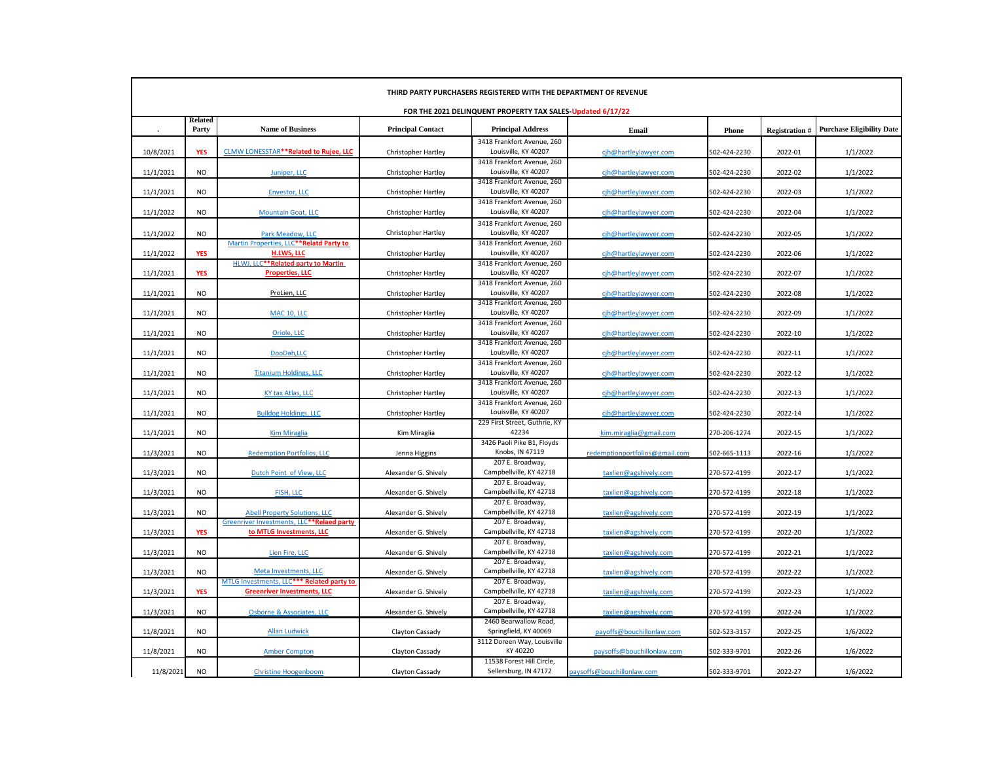| THIRD PARTY PURCHASERS REGISTERED WITH THE DEPARTMENT OF REVENUE |                         |                                           |                            |                                                    |                                |              |                      |                                  |  |
|------------------------------------------------------------------|-------------------------|-------------------------------------------|----------------------------|----------------------------------------------------|--------------------------------|--------------|----------------------|----------------------------------|--|
| FOR THE 2021 DELINQUENT PROPERTY TAX SALES-Updated 6/17/22       |                         |                                           |                            |                                                    |                                |              |                      |                                  |  |
|                                                                  | <b>Related</b><br>Party | <b>Name of Business</b>                   | <b>Principal Contact</b>   | <b>Principal Address</b>                           | Email                          | Phone        | <b>Registration#</b> | <b>Purchase Eligibility Date</b> |  |
|                                                                  |                         |                                           |                            | 3418 Frankfort Avenue, 260                         |                                |              |                      |                                  |  |
| 10/8/2021                                                        | <b>YES</b>              | CLMW LONESSTAR**Related to Rujee, LLC     | Christopher Hartley        | Louisville, KY 40207                               | cjh@hartleylawyer.com          | 502-424-2230 | 2022-01              | 1/1/2022                         |  |
|                                                                  |                         |                                           |                            | 3418 Frankfort Avenue, 260                         |                                |              |                      |                                  |  |
| 11/1/2021                                                        | <b>NO</b>               | Juniper, LLC                              | Christopher Hartley        | Louisville, KY 40207                               | cjh@hartleylawyer.com          | 502-424-2230 | 2022-02              | 1/1/2022                         |  |
|                                                                  |                         |                                           |                            | 3418 Frankfort Avenue, 260                         |                                |              |                      |                                  |  |
| 11/1/2021                                                        | <b>NO</b>               | <b>Envestor, LLC</b>                      | Christopher Hartley        | Louisville, KY 40207                               | cjh@hartleylawyer.com          | 502-424-2230 | 2022-03              | 1/1/2022                         |  |
| 11/1/2022                                                        | <b>NO</b>               | <b>Mountain Goat, LLC</b>                 |                            | 3418 Frankfort Avenue, 260<br>Louisville, KY 40207 |                                | 502-424-2230 | 2022-04              | 1/1/2022                         |  |
|                                                                  |                         |                                           | Christopher Hartley        |                                                    | cjh@hartleylawyer.com          |              |                      |                                  |  |
|                                                                  | NO.                     | <b>Park Meadow, LLC</b>                   | <b>Christopher Hartley</b> | 3418 Frankfort Avenue, 260<br>Louisville, KY 40207 |                                |              |                      | 1/1/2022                         |  |
| 11/1/2022                                                        |                         | Martin Properties, LLC**Relatd Party to   |                            | 3418 Frankfort Avenue, 260                         | cih@hartleylawyer.com          | 502-424-2230 | 2022-05              |                                  |  |
| 11/1/2022                                                        | <b>YES</b>              | H.LWS, LLC                                | <b>Christopher Hartley</b> | Louisville, KY 40207                               | cjh@hartleylawyer.com          | 502-424-2230 | 2022-06              | 1/1/2022                         |  |
|                                                                  |                         | HLWJ, LLC**Related party to Martin        |                            | 3418 Frankfort Avenue, 260                         |                                |              |                      |                                  |  |
| 11/1/2021                                                        | <b>YES</b>              | <b>Properties, LLC</b>                    | Christopher Hartley        | Louisville, KY 40207                               | cjh@hartleylawyer.com          | 502-424-2230 | 2022-07              | 1/1/2022                         |  |
|                                                                  |                         |                                           |                            | 3418 Frankfort Avenue, 260                         |                                |              |                      |                                  |  |
| 11/1/2021                                                        | <b>NO</b>               | ProLien, LLC                              | Christopher Hartley        | Louisville, KY 40207                               | cjh@hartleylawyer.com          | 502-424-2230 | 2022-08              | 1/1/2022                         |  |
|                                                                  |                         |                                           |                            | 3418 Frankfort Avenue, 260                         |                                |              |                      |                                  |  |
| 11/1/2021                                                        | <b>NO</b>               | <b>MAC 10, LLC</b>                        | <b>Christopher Hartley</b> | Louisville, KY 40207                               | cjh@hartleylawyer.com          | 502-424-2230 | 2022-09              | 1/1/2022                         |  |
|                                                                  |                         |                                           |                            | 3418 Frankfort Avenue, 260                         |                                |              |                      |                                  |  |
| 11/1/2021                                                        | <b>NO</b>               | Oriole, LLC                               | Christopher Hartley        | Louisville, KY 40207                               | cjh@hartleylawyer.com          | 502-424-2230 | 2022-10              | 1/1/2022                         |  |
|                                                                  |                         |                                           |                            | 3418 Frankfort Avenue, 260                         |                                |              |                      |                                  |  |
| 11/1/2021                                                        | <b>NO</b>               | DooDah, LLC                               | Christopher Hartley        | Louisville, KY 40207                               | cih@hartleylawyer.com          | 502-424-2230 | 2022-11              | 1/1/2022                         |  |
|                                                                  |                         |                                           |                            | 3418 Frankfort Avenue, 260                         |                                |              |                      |                                  |  |
| 11/1/2021                                                        | <b>NO</b>               | <b>Titanium Holdings, LLC</b>             | <b>Christopher Hartley</b> | Louisville, KY 40207                               | cjh@hartleylawyer.com          | 502-424-2230 | 2022-12              | 1/1/2022                         |  |
|                                                                  |                         |                                           |                            | 3418 Frankfort Avenue, 260                         |                                |              |                      |                                  |  |
| 11/1/2021                                                        | <b>NO</b>               | KY tax Atlas, LLC                         | Christopher Hartley        | Louisville, KY 40207                               | cjh@hartleylawyer.com          | 502-424-2230 | 2022-13              | 1/1/2022                         |  |
|                                                                  |                         |                                           |                            | 3418 Frankfort Avenue, 260                         |                                |              |                      |                                  |  |
| 11/1/2021                                                        | <b>NO</b>               | <b>Bulldog Holdings, LLC</b>              | Christopher Hartley        | Louisville, KY 40207                               | cjh@hartleylawyer.com          | 502-424-2230 | 2022-14              | 1/1/2022                         |  |
| 11/1/2021                                                        | <b>NO</b>               |                                           |                            | 229 First Street, Guthrie, KY<br>42234             |                                |              | 2022-15              | 1/1/2022                         |  |
|                                                                  |                         | <b>Kim Miraglia</b>                       | Kim Miraglia               | 3426 Paoli Pike B1, Floyds                         | kim.miraglia@gmail.com         | 270-206-1274 |                      |                                  |  |
| 11/3/2021                                                        | <b>NO</b>               | <b>Redemption Portfolios, LLC</b>         | Jenna Higgins              | Knobs, IN 47119                                    | redemptionportfolios@gmail.com | 502-665-1113 | 2022-16              | 1/1/2022                         |  |
|                                                                  |                         |                                           |                            | 207 E. Broadway,                                   |                                |              |                      |                                  |  |
| 11/3/2021                                                        | <b>NO</b>               | Dutch Point of View, LLC                  | Alexander G. Shively       | Campbellville, KY 42718                            | taxlien@agshively.com          | 270-572-4199 | 2022-17              | 1/1/2022                         |  |
|                                                                  |                         |                                           |                            | 207 E. Broadway,                                   |                                |              |                      |                                  |  |
| 11/3/2021                                                        | <b>NO</b>               | FISH, LLC                                 | Alexander G. Shively       | Campbellville, KY 42718                            | taxlien@agshively.com          | 270-572-4199 | 2022-18              | 1/1/2022                         |  |
|                                                                  |                         |                                           |                            | 207 E. Broadway,                                   |                                |              |                      |                                  |  |
| 11/3/2021                                                        | <b>NO</b>               | <b>Abell Property Solutions, LLC</b>      | Alexander G. Shively       | Campbellville, KY 42718                            | taxlien@agshively.com          | 270-572-4199 | 2022-19              | 1/1/2022                         |  |
|                                                                  |                         | Greenriver Investments, LLC**Relaed party |                            | 207 E. Broadway,                                   |                                |              |                      |                                  |  |
| 11/3/2021                                                        | <b>YES</b>              | to MTLG Investments, LLC                  | Alexander G. Shively       | Campbellville, KY 42718                            | taxlien@agshively.com          | 270-572-4199 | 2022-20              | 1/1/2022                         |  |
|                                                                  |                         |                                           |                            | 207 E. Broadway,                                   |                                |              |                      |                                  |  |
| 11/3/2021                                                        | <b>NO</b>               | Lien Fire, LLC                            | Alexander G. Shively       | Campbellville, KY 42718                            | taxlien@agshively.com          | 270-572-4199 | 2022-21              | 1/1/2022                         |  |
|                                                                  |                         |                                           |                            | 207 E. Broadway,                                   |                                |              |                      |                                  |  |
| 11/3/2021                                                        | <b>NO</b>               | Meta Investments, LLC                     | Alexander G. Shively       | Campbellville, KY 42718                            | taxlien@agshively.com          | 270-572-4199 | 2022-22              | 1/1/2022                         |  |
|                                                                  |                         | MTLG Investments, LLC*** Related party to |                            | 207 E. Broadway,                                   |                                |              |                      |                                  |  |
| 11/3/2021                                                        | <b>YES</b>              | <b>Greenriver Investments, LLC</b>        | Alexander G. Shively       | Campbellville, KY 42718<br>207 E. Broadway,        | taxlien@agshively.com          | 270-572-4199 | 2022-23              | 1/1/2022                         |  |
| 11/3/2021                                                        | <b>NO</b>               | Osborne & Associates, LLC                 | Alexander G. Shively       | Campbellville, KY 42718                            |                                | 270-572-4199 | 2022-24              | 1/1/2022                         |  |
|                                                                  |                         |                                           |                            | 2460 Bearwallow Road,                              | taxlien@agshively.com          |              |                      |                                  |  |
| 11/8/2021                                                        | <b>NO</b>               | <b>Allan Ludwick</b>                      | Clayton Cassady            | Springfield, KY 40069                              | payoffs@bouchillonlaw.com      | 502-523-3157 | 2022-25              | 1/6/2022                         |  |
|                                                                  |                         |                                           |                            | 3112 Doreen Way, Louisville                        |                                |              |                      |                                  |  |
| 11/8/2021                                                        | <b>NO</b>               | <b>Amber Compton</b>                      | Clayton Cassady            | KY 40220                                           | paysoffs@bouchillonlaw.com     | 502-333-9701 | 2022-26              | 1/6/2022                         |  |
|                                                                  |                         |                                           |                            | 11538 Forest Hill Circle,                          |                                |              |                      |                                  |  |
| 11/8/2021                                                        | <b>NO</b>               | <b>Christine Hoogenboom</b>               | Clayton Cassady            | Sellersburg, IN 47172                              | paysoffs@bouchillonlaw.com     | 502-333-9701 | 2022-27              | 1/6/2022                         |  |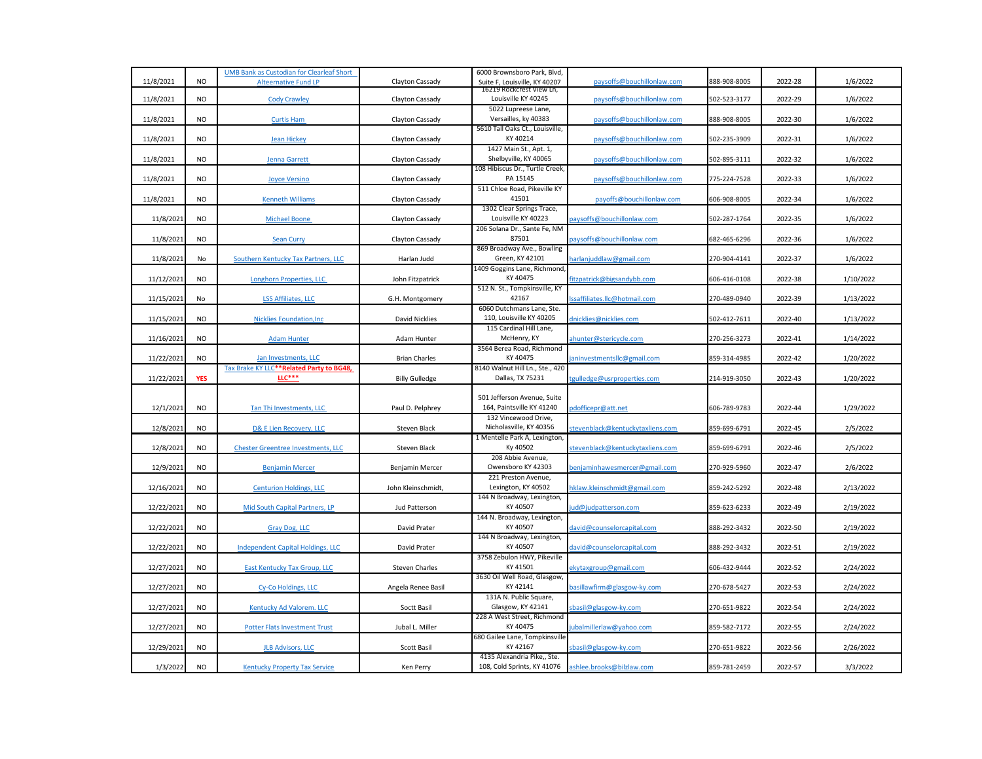|            |            | <b>UMB Bank as Custodian for Clearleaf Short</b>                |                       | 6000 Brownsboro Park, Blvd,                              |                                  |              |         |           |
|------------|------------|-----------------------------------------------------------------|-----------------------|----------------------------------------------------------|----------------------------------|--------------|---------|-----------|
| 11/8/2021  | <b>NO</b>  | <b>Alteernative Fund LP</b>                                     | Clayton Cassady       | Suite F, Louisville, KY 40207                            | paysoffs@bouchillonlaw.com       | 888-908-8005 | 2022-28 | 1/6/2022  |
| 11/8/2021  | <b>NO</b>  | <b>Cody Crawley</b>                                             | Clayton Cassady       | 16219 ROCKCrest View Ln,<br>Louisville KY 40245          | paysoffs@bouchillonlaw.com       | 502-523-3177 | 2022-29 | 1/6/2022  |
|            |            |                                                                 |                       | 5022 Lupreese Lane,                                      |                                  |              |         |           |
| 11/8/2021  | <b>NO</b>  | <b>Curtis Ham</b>                                               | Clayton Cassady       | Versailles, ky 40383                                     | paysoffs@bouchillonlaw.com       | 888-908-8005 | 2022-30 | 1/6/2022  |
|            |            |                                                                 |                       | 5610 Tall Oaks Ct., Louisville,                          |                                  |              |         |           |
| 11/8/2021  | <b>NO</b>  | <b>Jean Hickey</b>                                              | Clayton Cassady       | KY 40214                                                 | paysoffs@bouchillonlaw.com       | 502-235-3909 | 2022-31 | 1/6/2022  |
|            |            |                                                                 |                       | 1427 Main St., Apt. 1,                                   |                                  |              |         |           |
| 11/8/2021  | <b>NO</b>  | <b>Jenna Garrett</b>                                            | Clayton Cassady       | Shelbyville, KY 40065<br>108 Hibiscus Dr., Turtle Creek  | paysoffs@bouchillonlaw.com       | 502-895-3111 | 2022-32 | 1/6/2022  |
| 11/8/2021  | <b>NO</b>  | <b>Joyce Versino</b>                                            | Clayton Cassady       | PA 15145                                                 | paysoffs@bouchillonlaw.com       | 775-224-7528 | 2022-33 | 1/6/2022  |
|            |            |                                                                 |                       | 511 Chloe Road, Pikeville KY                             |                                  |              |         |           |
| 11/8/2021  | <b>NO</b>  | <b>Kenneth Williams</b>                                         | Clayton Cassady       | 41501                                                    | payoffs@bouchillonlaw.com        | 606-908-8005 | 2022-34 | 1/6/2022  |
|            |            |                                                                 |                       | 1302 Clear Springs Trace,                                |                                  |              |         |           |
| 11/8/2021  | <b>NO</b>  | <b>Michael Boone</b>                                            | Clayton Cassady       | Louisville KY 40223                                      | aysoffs@bouchillonlaw.com        | 502-287-1764 | 2022-35 | 1/6/2022  |
| 11/8/2021  | <b>NO</b>  | <b>Sean Curry</b>                                               | Clayton Cassady       | 206 Solana Dr., Sante Fe, NM<br>87501                    | paysoffs@bouchillonlaw.com       | 682-465-6296 | 2022-36 | 1/6/2022  |
|            |            |                                                                 |                       | 869 Broadway Ave., Bowling                               |                                  |              |         |           |
| 11/8/2021  | No         | Southern Kentucky Tax Partners, LLC                             | Harlan Judd           | Green, KY 42101                                          | narlanjuddlaw@gmail.com          | 270-904-4141 | 2022-37 | 1/6/2022  |
|            |            |                                                                 |                       | 1409 Goggins Lane, Richmond,                             |                                  |              |         |           |
| 11/12/2021 | <b>NO</b>  | Longhorn Properties, LLC                                        | John Fitzpatrick      | KY 40475                                                 | itzpatrick@bigsandybb.com        | 606-416-0108 | 2022-38 | 1/10/2022 |
|            |            |                                                                 |                       | 512 N. St., Tompkinsville, KY                            |                                  |              |         |           |
| 11/15/2021 | No         | <b>LSS Affiliates, LLC</b>                                      | G.H. Montgomery       | 42167<br>6060 Dutchmans Lane, Ste.                       | ssaffiliates.llc@hotmail.com     | 270-489-0940 | 2022-39 | 1/13/2022 |
| 11/15/2021 | <b>NO</b>  | <b>Nicklies Foundation, Inc.</b>                                | David Nicklies        | 110, Louisville KY 40205                                 | dnicklies@nicklies.com           | 502-412-7611 | 2022-40 | 1/13/2022 |
|            |            |                                                                 |                       | 115 Cardinal Hill Lane,                                  |                                  |              |         |           |
| 11/16/2021 | <b>NO</b>  | <b>Adam Hunter</b>                                              | Adam Hunter           | McHenry, KY                                              | ahunter@stericycle.com           | 270-256-3273 | 2022-41 | 1/14/2022 |
|            |            |                                                                 |                       | 3564 Berea Road, Richmond                                |                                  |              |         |           |
| 11/22/2021 | <b>NO</b>  | Jan Investments, LLC                                            | <b>Brian Charles</b>  | KY 40475                                                 | aninvestmentsllc@gmail.com       | 859-314-4985 | 2022-42 | 1/20/2022 |
| 11/22/2021 | <b>YES</b> | Tax Brake KY LLC <sup>*</sup> *Related Party to BG48,<br>LLC*** | <b>Billy Gulledge</b> | 8140 Walnut Hill Ln., Ste., 420<br>Dallas, TX 75231      | gulledge@usrproperties.com       | 214-919-3050 | 2022-43 | 1/20/2022 |
|            |            |                                                                 |                       |                                                          |                                  |              |         |           |
|            |            |                                                                 |                       | 501 Jefferson Avenue, Suite                              |                                  |              |         |           |
| 12/1/2021  | <b>NO</b>  | Tan Thi Investments, LLC                                        | Paul D. Pelphrey      | 164, Paintsville KY 41240                                | pdofficepr@att.net               | 606-789-9783 | 2022-44 | 1/29/2022 |
|            |            |                                                                 |                       | 132 Vincewood Drive,                                     |                                  |              |         |           |
| 12/8/2021  | <b>NO</b>  | D& E Lien Recovery, LLC                                         | Steven Black          | Nicholasville, KY 40356<br>1 Mentelle Park A, Lexington, | tevenblack@kentuckytaxliens.com  | 859-699-6791 | 2022-45 | 2/5/2022  |
| 12/8/2021  | <b>NO</b>  | <b>Chester Greentree Investments, LLC</b>                       | Steven Black          | Ky 40502                                                 | stevenblack@kentuckytaxliens.com | 859-699-6791 | 2022-46 | 2/5/2022  |
|            |            |                                                                 |                       | 208 Abbie Avenue,                                        |                                  |              |         |           |
| 12/9/2021  | <b>NO</b>  | <b>Benjamin Mercer</b>                                          | Benjamin Mercer       | Owensboro KY 42303                                       | enjaminhawesmercer@gmail.com     | 270-929-5960 | 2022-47 | 2/6/2022  |
|            |            |                                                                 |                       | 221 Preston Avenue,                                      |                                  |              |         |           |
| 12/16/2021 | <b>NO</b>  | <b>Centurion Holdings, LLC</b>                                  | John Kleinschmidt,    | Lexington, KY 40502                                      | klaw.kleinschmidt@gmail.com      | 859-242-5292 | 2022-48 | 2/13/2022 |
| 12/22/2021 | <b>NO</b>  |                                                                 |                       | 144 N Broadway, Lexington,<br>KY 40507                   |                                  | 859-623-6233 | 2022-49 | 2/19/2022 |
|            |            | Mid South Capital Partners, LP                                  | Jud Patterson         | 144 N. Broadway, Lexington,                              | ud@judpatterson.com              |              |         |           |
| 12/22/2021 | <b>NO</b>  | Gray Dog, LLC                                                   | David Prater          | KY 40507                                                 | david@counselorcapital.com       | 888-292-3432 | 2022-50 | 2/19/2022 |
|            |            |                                                                 |                       | 144 N Broadway, Lexington,                               |                                  |              |         |           |
| 12/22/2021 | <b>NO</b>  | <b>Independent Capital Holdings, LLC</b>                        | David Prater          | KY 40507                                                 | david@counselorcapital.com       | 888-292-3432 | 2022-51 | 2/19/2022 |
|            |            |                                                                 |                       | 3758 Zebulon HWY, Pikeville                              |                                  |              |         |           |
| 12/27/2021 | <b>NO</b>  | East Kentucky Tax Group, LLC                                    | <b>Steven Charles</b> | KY 41501<br>3630 Oil Well Road, Glasgow,                 | ekytaxgroup@gmail.com            | 606-432-9444 | 2022-52 | 2/24/2022 |
| 12/27/2021 | <b>NO</b>  | Cy-Co Holdings, LLC                                             | Angela Renee Basil    | KY 42141                                                 | pasillawfirm@glasgow-ky.com      | 270-678-5427 | 2022-53 | 2/24/2022 |
|            |            |                                                                 |                       | 131A N. Public Square,                                   |                                  |              |         |           |
| 12/27/2021 | <b>NO</b>  | Kentucky Ad Valorem. LLC                                        | Soctt Basil           | Glasgow, KY 42141                                        | basil@glasgow-ky.com             | 270-651-9822 | 2022-54 | 2/24/2022 |
|            |            |                                                                 |                       | 228 A West Street, Richmond                              |                                  |              |         |           |
| 12/27/2021 | <b>NO</b>  | <b>Potter Flats Investment Trust</b>                            | Jubal L. Miller       | KY 40475                                                 | ubalmillerlaw@yahoo.com          | 859-582-7172 | 2022-55 | 2/24/2022 |
| 12/29/2021 | <b>NO</b>  | <b>JLB Advisors, LLC</b>                                        | <b>Scott Basil</b>    | 680 Gailee Lane, Tompkinsville<br>KY 42167               | sbasil@glasgow-ky.com            | 270-651-9822 | 2022-56 | 2/26/2022 |
|            |            |                                                                 |                       | 4135 Alexandria Pike,, Ste.                              |                                  |              |         |           |
| 1/3/2022   | <b>NO</b>  | <b>Kentucky Property Tax Service</b>                            | Ken Perry             | 108, Cold Sprints, KY 41076                              | ashlee.brooks@bilzlaw.com        | 859-781-2459 | 2022-57 | 3/3/2022  |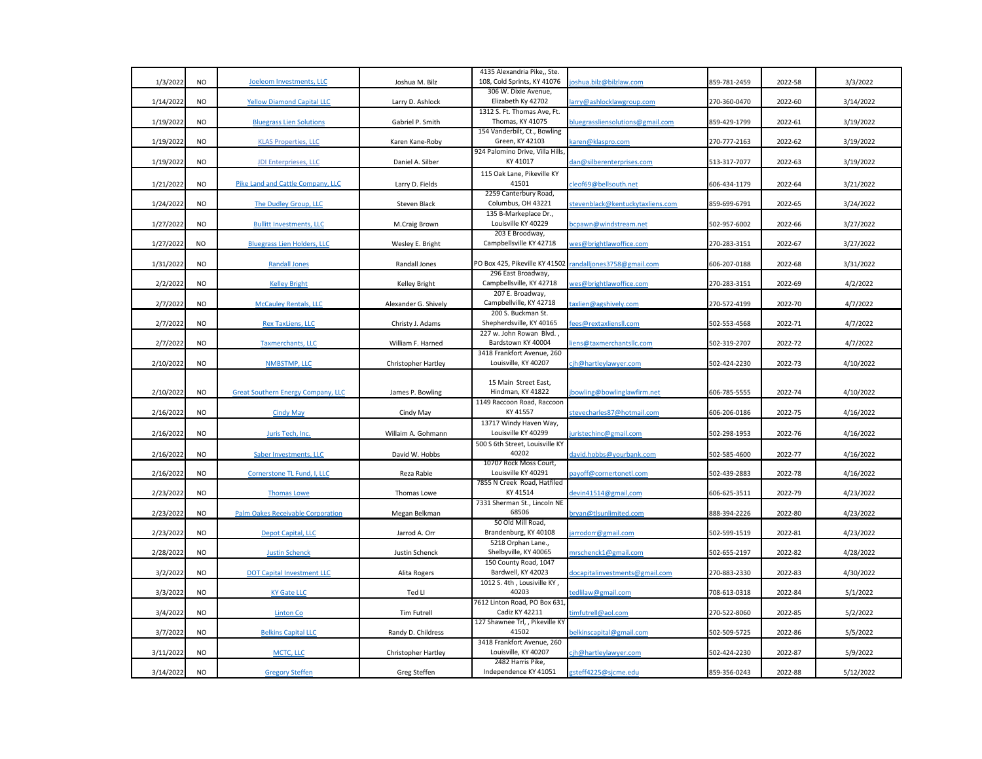|           |           |                                           |                      | 4135 Alexandria Pike,, Ste.                             |                                  |              |         |           |
|-----------|-----------|-------------------------------------------|----------------------|---------------------------------------------------------|----------------------------------|--------------|---------|-----------|
| 1/3/2022  | <b>NO</b> | Joeleom Investments, LLC                  | Joshua M. Bilz       | 108, Cold Sprints, KY 41076                             | joshua.bilz@bilzlaw.com          | 859-781-2459 | 2022-58 | 3/3/2022  |
|           |           |                                           |                      | 306 W. Dixie Avenue,                                    |                                  |              |         |           |
| 1/14/2022 | <b>NO</b> | <b>Yellow Diamond Capital LLC</b>         | Larry D. Ashlock     | Elizabeth Ky 42702                                      | larry@ashlocklawgroup.com        | 270-360-0470 | 2022-60 | 3/14/2022 |
|           |           |                                           |                      | 1312 S. Ft. Thomas Ave, Ft.                             |                                  |              |         |           |
| 1/19/2022 | <b>NO</b> | <b>Bluegrass Lien Solutions</b>           | Gabriel P. Smith     | <b>Thomas, KY 41075</b><br>154 Vanderbilt, Ct., Bowling | bluegrassliensolutions@gmail.com | 859-429-1799 | 2022-61 | 3/19/2022 |
| 1/19/2022 | <b>NO</b> | <b>KLAS Properties, LLC</b>               | Karen Kane-Roby      | Green, KY 42103                                         | karen@klaspro.com                | 270-777-2163 | 2022-62 | 3/19/2022 |
|           |           |                                           |                      | 924 Palomino Drive, Villa Hills                         |                                  |              |         |           |
| 1/19/2022 | $NO$      | JDI Enterprieses, LLC                     | Daniel A. Silber     | KY 41017                                                | dan@silberenterprises.com        | 513-317-7077 | 2022-63 | 3/19/2022 |
|           |           |                                           |                      | 115 Oak Lane, Pikeville KY                              |                                  |              |         |           |
| 1/21/2022 | <b>NO</b> | Pike Land and Cattle Company, LLC         | Larry D. Fields      | 41501                                                   | cleof69@bellsouth.net            | 606-434-1179 | 2022-64 | 3/21/2022 |
|           |           |                                           |                      | 2259 Canterbury Road,                                   |                                  |              |         |           |
| 1/24/2022 | <b>NO</b> | The Dudley Group, LLC                     | Steven Black         | Columbus, OH 43221                                      | stevenblack@kentuckytaxliens.com | 859-699-6791 | 2022-65 | 3/24/2022 |
|           |           |                                           |                      | 135 B-Markeplace Dr.,                                   |                                  |              |         |           |
| 1/27/2022 | <b>NO</b> | <b>Bullitt Investments, LLC</b>           | M.Craig Brown        | Louisville KY 40229                                     | ocpawn@windstream.net            | 502-957-6002 | 2022-66 | 3/27/2022 |
|           |           |                                           |                      | 203 E Broodway,                                         |                                  |              |         |           |
| 1/27/2022 | <b>NO</b> | <b>Bluegrass Lien Holders, LLC</b>        | Wesley E. Bright     | Campbellsville KY 42718                                 | wes@brightlawoffice.com          | 270-283-3151 | 2022-67 | 3/27/2022 |
|           |           |                                           |                      |                                                         |                                  |              |         |           |
| 1/31/2022 | <b>NO</b> | <b>Randall Jones</b>                      | Randall Jones        | PO Box 425, Pikeville KY 41502                          | randalljones3758@gmail.com       | 606-207-0188 | 2022-68 | 3/31/2022 |
|           |           |                                           |                      | 296 East Broadway,                                      |                                  |              |         |           |
| 2/2/2022  | <b>NO</b> | <b>Kelley Bright</b>                      | Kelley Bright        | Campbellsville, KY 42718<br>207 E. Broadway,            | wes@brightlawoffice.com          | 270-283-3151 | 2022-69 | 4/2/2022  |
| 2/7/2022  | <b>NO</b> | <b>McCauley Rentals, LLC</b>              | Alexander G. Shively | Campbellville, KY 42718                                 | taxlien@agshively.com            | 270-572-4199 | 2022-70 | 4/7/2022  |
|           |           |                                           |                      | 200 S. Buckman St.                                      |                                  |              |         |           |
| 2/7/2022  | <b>NO</b> | <b>Rex TaxLiens, LLC</b>                  | Christy J. Adams     | Shepherdsville, KY 40165                                | ees@rextaxliensll.com            | 502-553-4568 | 2022-71 | 4/7/2022  |
|           |           |                                           |                      | 227 w. John Rowan Blvd.,                                |                                  |              |         |           |
| 2/7/2022  | <b>NO</b> | <b>Taxmerchants, LLC</b>                  | William F. Harned    | Bardstown KY 40004                                      | iens@taxmerchantsllc.com         | 502-319-2707 | 2022-72 | 4/7/2022  |
|           |           |                                           |                      | 3418 Frankfort Avenue, 260                              |                                  |              |         |           |
| 2/10/2022 | <b>NO</b> | NMBSTMP, LLC                              | Christopher Hartley  | Louisville, KY 40207                                    | cjh@hartleylawyer.com            | 502-424-2230 | 2022-73 | 4/10/2022 |
|           |           |                                           |                      |                                                         |                                  |              |         |           |
| 2/10/2022 | <b>NO</b> | <b>Great Southern Energy Company, LLC</b> | James P. Bowling     | 15 Main Street East,<br>Hindman, KY 41822               | bowling@bowlinglawfirm.net       | 606-785-5555 | 2022-74 | 4/10/2022 |
|           |           |                                           |                      | 1149 Raccoon Road, Raccoon                              |                                  |              |         |           |
| 2/16/2022 | <b>NO</b> | <b>Cindy May</b>                          | Cindy May            | KY 41557                                                | stevecharles87@hotmail.com       | 606-206-0186 | 2022-75 | 4/16/2022 |
|           |           |                                           |                      | 13717 Windy Haven Way,                                  |                                  |              |         |           |
| 2/16/2022 | <b>NO</b> | Juris Tech, Inc.                          | Willaim A. Gohmann   | Louisville KY 40299                                     | uristechinc@gmail.com            | 502-298-1953 | 2022-76 | 4/16/2022 |
|           |           |                                           |                      | 500 S 6th Street, Louisville KY                         |                                  |              |         |           |
| 2/16/2022 | <b>NO</b> | Saber Investments, LLC                    | David W. Hobbs       | 40202                                                   | david.hobbs@yourbank.com         | 502-585-4600 | 2022-77 | 4/16/2022 |
|           |           |                                           |                      | 10707 Rock Moss Court,                                  |                                  |              |         |           |
| 2/16/2022 | <b>NO</b> | Cornerstone TL Fund, I, LLC               | Reza Rabie           | Louisville KY 40291                                     | payoff@cornertonetl.com          | 502-439-2883 | 2022-78 | 4/16/2022 |
|           |           |                                           |                      | 7855 N Creek Road, Hatfiled                             |                                  |              |         |           |
| 2/23/2022 | <b>NO</b> | <b>Thomas Lowe</b>                        | Thomas Lowe          | KY 41514                                                | devin41514@gmail,com             | 606-625-3511 | 2022-79 | 4/23/2022 |
|           |           |                                           |                      | 7331 Sherman St., Lincoln NE<br>68506                   |                                  |              |         |           |
| 2/23/2022 | <b>NO</b> | Palm Oakes Receivable Corporation         | Megan Belkman        | 50 Old Mill Road,                                       | bryan@tlsunlimited.com           | 888-394-2226 | 2022-80 | 4/23/2022 |
| 2/23/2022 | <b>NO</b> | <b>Depot Capital, LLC</b>                 | Jarrod A. Orr        | Brandenburg, KY 40108                                   | arrodorr@gmail.com               | 502-599-1519 | 2022-81 | 4/23/2022 |
|           |           |                                           |                      | 5218 Orphan Lane.,                                      |                                  |              |         |           |
| 2/28/2022 | <b>NO</b> | <b>Justin Schenck</b>                     | Justin Schenck       | Shelbyville, KY 40065                                   | mrschenck1@gmail.com             | 502-655-2197 | 2022-82 | 4/28/2022 |
|           |           |                                           |                      | 150 County Road, 1047                                   |                                  |              |         |           |
| 3/2/2022  | <b>NO</b> | <b>DOT Capital Investment LLC</b>         | Alita Rogers         | Bardwell, KY 42023                                      | docapitalinvestments@gmail.com   | 270-883-2330 | 2022-83 | 4/30/2022 |
|           |           |                                           |                      | 1012 S. 4th, Lousiville KY,                             |                                  |              |         |           |
| 3/3/2022  | <b>NO</b> | <b>KY Gate LLC</b>                        | Ted LI               | 40203                                                   | tedlilaw@gmail.com               | 708-613-0318 | 2022-84 | 5/1/2022  |
|           |           |                                           |                      | 7612 Linton Road, PO Box 631,                           |                                  |              |         |           |
| 3/4/2022  | <b>NO</b> | <b>Linton Co</b>                          | <b>Tim Futrell</b>   | Cadiz KY 42211                                          | :imfutrell@aol.com               | 270-522-8060 | 2022-85 | 5/2/2022  |
|           |           |                                           |                      | 127 Shawnee Trl, , Pikeville KY<br>41502                |                                  |              |         |           |
| 3/7/2022  | <b>NO</b> | <b>Belkins Capital LLC</b>                | Randy D. Childress   | 3418 Frankfort Avenue, 260                              | oelkinscapital@gmail.com         | 502-509-5725 | 2022-86 | 5/5/2022  |
| 3/11/2022 | <b>NO</b> | MCTC, LLC                                 | Christopher Hartley  | Louisville, KY 40207                                    | cjh@hartleylawyer.com            | 502-424-2230 | 2022-87 | 5/9/2022  |
|           |           |                                           |                      | 2482 Harris Pike,                                       |                                  |              |         |           |
| 3/14/2022 | <b>NO</b> | <b>Gregory Steffen</b>                    | Greg Steffen         | Independence KY 41051                                   | gsteff4225@sjcme.edu             | 859-356-0243 | 2022-88 | 5/12/2022 |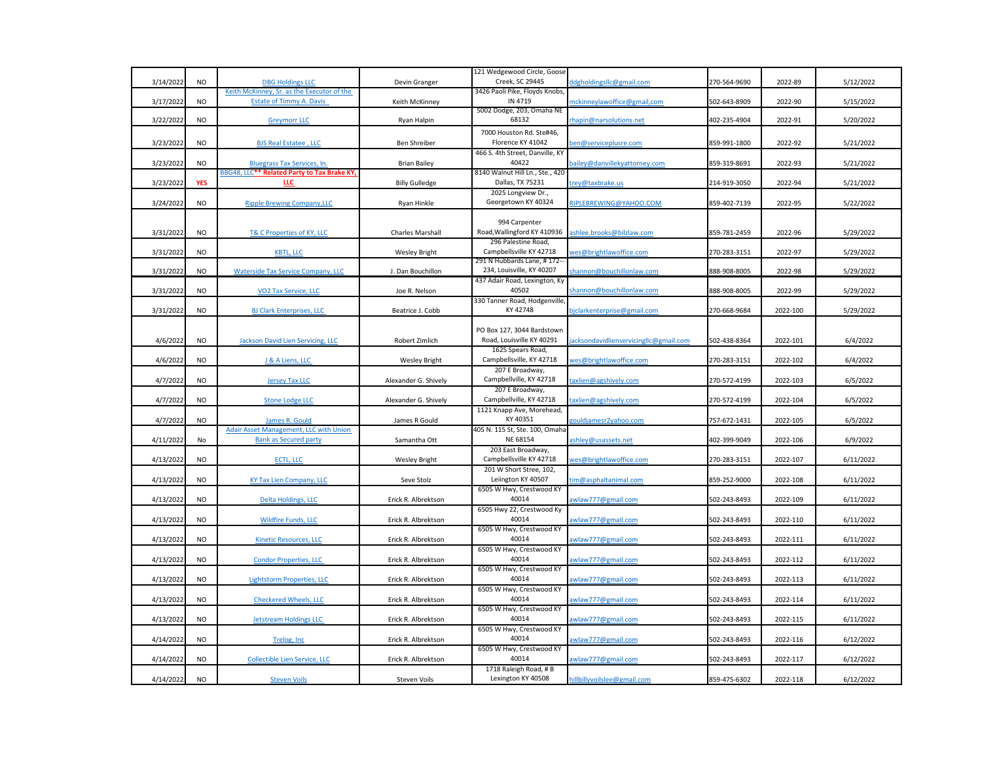|           |            |                                             |                       | 121 Wedgewood Circle, Goose                             |                                       |              |          |           |
|-----------|------------|---------------------------------------------|-----------------------|---------------------------------------------------------|---------------------------------------|--------------|----------|-----------|
| 3/14/2022 | <b>NO</b>  | <b>DBG Holdings LLC</b>                     | Devin Granger         | Creek, SC 29445                                         | ddgholdingsllc@gmail.com              | 270-564-9690 | 2022-89  | 5/12/2022 |
|           |            | Keith McKinney, Sr. as the Executor of the  |                       | 3426 Paoli Pike, Floyds Knobs,                          |                                       |              |          |           |
| 3/17/2022 | <b>NO</b>  | <b>Estate of Timmy A. Davis</b>             | Keith McKinney        | IN 4719                                                 | nckinneylawoffice@gmail,com           | 502-643-8909 | 2022-90  | 5/15/2022 |
|           |            |                                             |                       | 5002 Dodge, 203, Omaha NE                               |                                       |              |          |           |
| 3/22/2022 | <b>NO</b>  | <b>Greymorr LLC</b>                         | Ryan Halpin           | 68132                                                   | rhapin@narsolutions.net               | 402-235-4904 | 2022-91  | 5/20/2022 |
|           |            |                                             |                       | 7000 Houston Rd. Ste#46,                                |                                       |              |          |           |
| 3/23/2022 | <b>NO</b>  | <b>BJS Real Estatee, LLC</b>                | Ben Shreiber          | Florence KY 41042                                       | pen@serviceplusre.com                 | 859-991-1800 | 2022-92  | 5/21/2022 |
|           |            |                                             |                       | 466 S. 4th Street, Danville, KY                         |                                       |              |          |           |
| 3/23/2022 | <b>NO</b>  | <b>Bluegrass Tax Services, In.</b>          | <b>Brian Bailey</b>   | 40422                                                   | ailey@danvillekyattorney.com          | 859-319-8691 | 2022-93  | 5/21/2022 |
|           |            | BBG48, LLC** Related Party to Tax Brake KY, |                       | 8140 Walnut Hill Ln., Ste., 420                         |                                       |              |          |           |
| 3/23/2022 | <b>YES</b> | LLC                                         | <b>Billy Gulledge</b> | Dallas, TX 75231                                        | rey@taxbrake.us                       | 214-919-3050 | 2022-94  | 5/21/2022 |
|           |            |                                             |                       | 2025 Longview Dr.,                                      |                                       |              |          |           |
| 3/24/2022 | <b>NO</b>  | <b>Ripple Brewing Company, LLC</b>          | Ryan Hinkle           | Georgetown KY 40324                                     | RIPLEBREWING@YAHOO.COM                | 859-402-7139 | 2022-95  | 5/22/2022 |
|           |            |                                             |                       |                                                         |                                       |              |          |           |
|           |            |                                             |                       | 994 Carpenter                                           |                                       |              |          |           |
| 3/31/2022 | <b>NO</b>  | T& C Properties of KY, LLC                  |                       | Road, Wallingford KY 410936                             |                                       | 859-781-2459 | 2022-96  | 5/29/2022 |
|           |            |                                             | Charles Marshall      | 296 Palestine Road,                                     | ishlee.brooks@bilzlaw.com             |              |          |           |
|           | <b>NO</b>  |                                             |                       | Campbellsville KY 42718                                 |                                       | 270-283-3151 |          |           |
| 3/31/2022 |            | <b>KBTL, LLC</b>                            | <b>Wesley Bright</b>  | 291 N Hubbards Lane, #172--                             | ves@brightlawoffice.com               |              | 2022-97  | 5/29/2022 |
| 3/31/2022 | $NO$       | <b>Waterside Tax Service Company, LLC</b>   | J. Dan Bouchillon     | 234, Louisville, KY 40207                               | shannon@bouchillonlaw.com             | 888-908-8005 | 2022-98  | 5/29/2022 |
|           |            |                                             |                       | 437 Adair Road, Lexington, Ky                           |                                       |              |          |           |
| 3/31/2022 | <b>NO</b>  | VO2 Tax Service, LLC                        | Joe R. Nelson         | 40502                                                   | shannon@bouchillonlaw.com             | 888-908-8005 | 2022-99  | 5/29/2022 |
|           |            |                                             |                       |                                                         |                                       |              |          |           |
|           | <b>NO</b>  |                                             | Beatrice J. Cobb      | 330 Tanner Road, Hodgenville,<br>KY 42748               |                                       |              |          |           |
| 3/31/2022 |            | <b>BJ Clark Enterprises, LLC</b>            |                       |                                                         | ojclarkenterprise@gmail.com           | 270-668-9684 | 2022-100 | 5/29/2022 |
|           |            |                                             |                       |                                                         |                                       |              |          |           |
|           |            |                                             |                       | PO Box 127, 3044 Bardstown<br>Road, Louisville KY 40291 |                                       |              |          |           |
| 4/6/2022  | <b>NO</b>  | Jackson David Lien Servicing, LLC           | Robert Zimlich        |                                                         | acksondavidlienservicingllc@gmail.com | 502-438-8364 | 2022-101 | 6/4/2022  |
|           |            |                                             |                       | 1625 Spears Road,                                       |                                       |              |          |           |
| 4/6/2022  | <b>NO</b>  | J & A Liens, LLC                            | <b>Wesley Bright</b>  | Campbellsville, KY 42718                                | ves@brightlawoffice.com               | 270-283-3151 | 2022-102 | 6/4/2022  |
|           |            |                                             |                       | 207 E Broadway,                                         |                                       |              |          |           |
| 4/7/2022  | <b>NO</b>  | <b>Jersey Tax LLC</b>                       | Alexander G. Shively  | Campbellville, KY 42718                                 | axlien@agshively.com                  | 270-572-4199 | 2022-103 | 6/5/2022  |
|           |            |                                             |                       | 207 E Broadway,                                         |                                       |              |          |           |
| 4/7/2022  | <b>NO</b>  | <b>Stone Lodge LLC</b>                      | Alexander G. Shively  | Campbellville, KY 42718                                 | axlien@agshively.com                  | 270-572-4199 | 2022-104 | 6/5/2022  |
|           |            |                                             |                       | 1121 Knapp Ave, Morehead,                               |                                       |              |          |           |
| 4/7/2022  | $NO$       | James R. Gould                              | James R Gould         | KY 40351                                                | gouldjamesr2yahoo.com                 | 757-672-1431 | 2022-105 | 6/5/2022  |
|           |            | Adair Asset Management, LLC with Union      |                       | 405 N. 115 St, Ste. 100, Omaha                          |                                       |              |          |           |
| 4/11/2022 | No         | <b>Bank as Secured party</b>                | Samantha Ott          | NE 68154                                                | shley@usassets.net                    | 402-399-9049 | 2022-106 | 6/9/2022  |
|           |            |                                             |                       | 203 East Broadway,                                      |                                       |              |          |           |
| 4/13/2022 | <b>NO</b>  | ECTL, LLC                                   | <b>Wesley Bright</b>  | Campbellsville KY 42718                                 | wes@brightlawoffice.com               | 270-283-3151 | 2022-107 | 6/11/2022 |
|           |            |                                             |                       | 201 W Short Stree, 102,                                 |                                       |              |          |           |
| 4/13/2022 | <b>NO</b>  | <b>KY Tax Lien Company, LLC</b>             | Seve Stolz            | Leiington KY 40507                                      | im@asphaltanimal.com                  | 859-252-9000 | 2022-108 | 6/11/2022 |
|           |            |                                             |                       | 6505 W Hwy, Crestwood KY                                |                                       |              |          |           |
| 4/13/2022 | <b>NO</b>  | <b>Delta Holdings, LLC</b>                  | Erick R. Albrektson   | 40014                                                   | wlaw777@gmail.com                     | 502-243-8493 | 2022-109 | 6/11/2022 |
|           |            |                                             |                       | 6505 Hwy 22, Crestwood Ky                               |                                       |              |          |           |
| 4/13/2022 | <b>NO</b>  | <b>Wildfire Funds, LLC</b>                  | Erick R. Albrektson   | 40014                                                   | wlaw777@gmail.com                     | 502-243-8493 | 2022-110 | 6/11/2022 |
|           |            |                                             |                       | 6505 W Hwy, Crestwood KY                                |                                       |              |          |           |
| 4/13/2022 | <b>NO</b>  | <b>Kinetic Resources, LLC</b>               | Erick R. Albrektson   | 40014                                                   | wlaw777@gmail.com                     | 502-243-8493 | 2022-111 | 6/11/2022 |
|           |            |                                             |                       | 6505 W Hwy, Crestwood KY                                |                                       |              |          |           |
| 4/13/2022 | $NO$       | <b>Condor Properties, LLC</b>               | Erick R. Albrektson   | 40014                                                   | awlaw777@gmail.com                    | 502-243-8493 | 2022-112 | 6/11/2022 |
|           |            |                                             |                       | 6505 W Hwy, Crestwood KY                                |                                       |              |          |           |
| 4/13/2022 | <b>NO</b>  | <b>Lightstorm Properties, LLC</b>           | Erick R. Albrektson   | 40014                                                   | wlaw777@gmail.com                     | 502-243-8493 | 2022-113 | 6/11/2022 |
|           |            |                                             |                       | 6505 W Hwy, Crestwood KY                                |                                       |              |          |           |
| 4/13/2022 | <b>NO</b>  | <b>Checkered Wheels, LLC</b>                | Erick R. Albrektson   | 40014                                                   | wlaw777@gmail.com                     | 502-243-8493 | 2022-114 | 6/11/2022 |
|           |            |                                             |                       | 6505 W Hwy, Crestwood KY                                |                                       |              |          |           |
| 4/13/2022 | <b>NO</b>  | <b>Jetstream Holdings LLC</b>               | Erick R. Albrektson   | 40014                                                   | wlaw777@gmail.com                     | 502-243-8493 | 2022-115 | 6/11/2022 |
|           |            |                                             |                       | 6505 W Hwy, Crestwood KY                                |                                       |              |          |           |
| 4/14/2022 | <b>NO</b>  | Trelog, Inc                                 | Erick R. Albrektson   | 40014                                                   | wlaw777@gmail.com                     | 502-243-8493 | 2022-116 | 6/12/2022 |
|           |            |                                             |                       | 6505 W Hwy, Crestwood KY                                |                                       |              |          |           |
| 4/14/2022 | <b>NO</b>  | Collectible Lien Service, LLC               | Erick R. Albrektson   | 40014                                                   | awlaw777@gmail.com                    | 502-243-8493 | 2022-117 | 6/12/2022 |
|           |            |                                             |                       | 1718 Raleigh Road, # B                                  |                                       |              |          |           |
| 4/14/2022 | <b>NO</b>  | <b>Steven Voils</b>                         | <b>Steven Voils</b>   | Lexington KY 40508                                      | hillbillyvoilslee@gmail.com           | 859-475-6302 | 2022-118 | 6/12/2022 |
|           |            |                                             |                       |                                                         |                                       |              |          |           |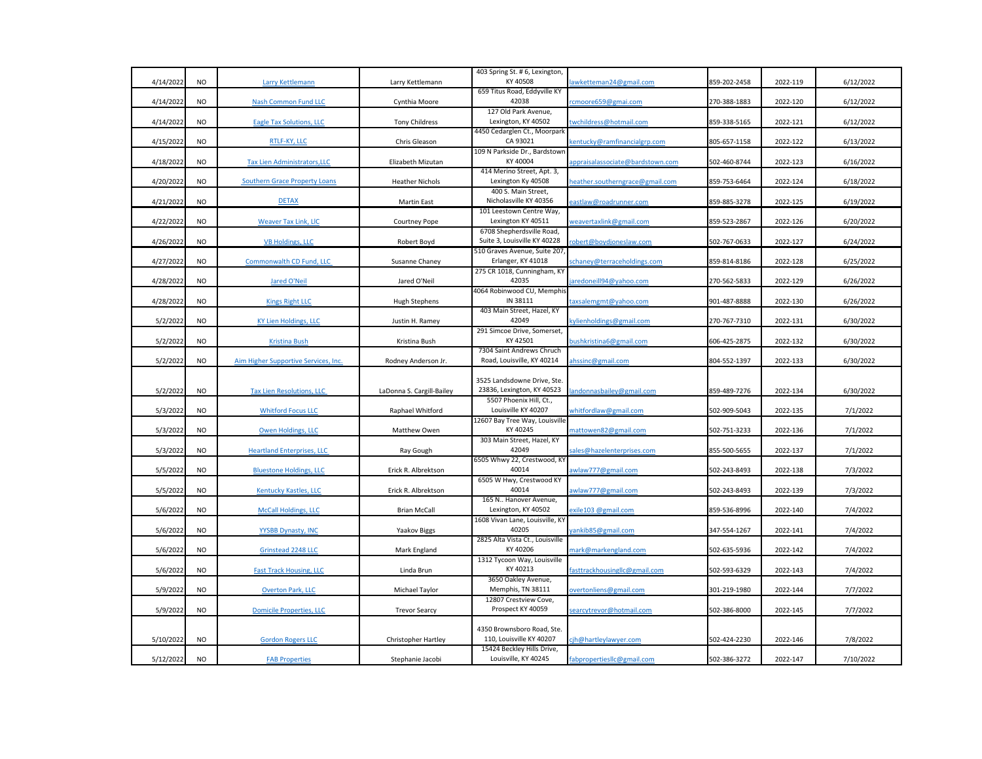|           |           |                                      |                            | 403 Spring St. # 6, Lexington,                            |                                  |              |          |           |
|-----------|-----------|--------------------------------------|----------------------------|-----------------------------------------------------------|----------------------------------|--------------|----------|-----------|
| 4/14/2022 | <b>NO</b> | Larry Kettlemann                     | Larry Kettlemann           | KY 40508                                                  | awketteman24@gmail.com           | 859-202-2458 | 2022-119 | 6/12/2022 |
| 4/14/2022 | <b>NO</b> | Nash Common Fund LLC                 | Cynthia Moore              | 659 Titus Road, Eddyville KY<br>42038                     | cmoore659@gmai.com               | 270-388-1883 | 2022-120 | 6/12/2022 |
|           |           |                                      |                            | 127 Old Park Avenue,                                      |                                  |              |          |           |
| 4/14/2022 | <b>NO</b> | Eagle Tax Solutions, LLC             | <b>Tony Childress</b>      | Lexington, KY 40502                                       | twchildress@hotmail.com          | 859-338-5165 | 2022-121 | 6/12/2022 |
| 4/15/2022 | <b>NO</b> | RTLF-KY, LLC                         | Chris Gleason              | 4450 Cedarglen Ct., Moorpark<br>CA 93021                  | kentucky@ramfinancialgrp.com     | 805-657-1158 | 2022-122 | 6/13/2022 |
|           |           |                                      |                            | 109 N Parkside Dr., Bardstown                             |                                  |              |          |           |
| 4/18/2022 | <b>NO</b> | <b>Tax Lien Administrators, LLC</b>  | Elizabeth Mizutan          | KY 40004                                                  | appraisalassociate@bardstown.com | 502-460-8744 | 2022-123 | 6/16/2022 |
|           |           |                                      |                            | 414 Merino Street, Apt. 3,                                |                                  |              |          |           |
| 4/20/2022 | <b>NO</b> | <b>Southern Grace Property Loans</b> | <b>Heather Nichols</b>     | Lexington Ky 40508<br>400 S. Main Street,                 | neather.southerngrace@gmail.com  | 859-753-6464 | 2022-124 | 6/18/2022 |
| 4/21/2022 | <b>NO</b> | <b>DETAX</b>                         | <b>Martin East</b>         | Nicholasville KY 40356                                    | eastlaw@roadrunner.com           | 859-885-3278 | 2022-125 | 6/19/2022 |
|           |           |                                      |                            | 101 Leestown Centre Way,                                  |                                  |              |          |           |
| 4/22/2022 | <b>NO</b> | <b>Weaver Tax Link, LIC</b>          | Courtney Pope              | Lexington KY 40511                                        | weavertaxlink@gmail.com          | 859-523-2867 | 2022-126 | 6/20/2022 |
|           |           |                                      |                            | 6708 Shepherdsville Road,                                 |                                  |              |          |           |
| 4/26/2022 | <b>NO</b> | <b>VB Holdings, LLC</b>              | Robert Boyd                | Suite 3, Louisville KY 40228                              | obert@boydjoneslaw.com           | 502-767-0633 | 2022-127 | 6/24/2022 |
|           |           |                                      |                            | 510 Graves Avenue, Suite 207                              |                                  |              |          |           |
| 4/27/2022 | <b>NO</b> | Commonwalth CD Fund, LLC             | Susanne Chaney             | Erlanger, KY 41018                                        | schaney@terraceholdings.com      | 859-814-8186 | 2022-128 | 6/25/2022 |
|           |           |                                      |                            | 275 CR 1018, Cunningham, KY<br>42035                      |                                  |              |          |           |
| 4/28/2022 | <b>NO</b> | <b>Jared O'Neil</b>                  | Jared O'Neil               | 4064 Robinwood CU, Memphis                                | aredoneill94@yahoo.com           | 270-562-5833 | 2022-129 | 6/26/2022 |
| 4/28/2022 | <b>NO</b> | <b>Kings Right LLC</b>               | <b>Hugh Stephens</b>       | IN 38111                                                  | taxsalemgmt@yahoo.com            | 901-487-8888 | 2022-130 | 6/26/2022 |
|           |           |                                      |                            | 403 Main Street, Hazel, KY                                |                                  |              |          |           |
| 5/2/2022  | <b>NO</b> | <b>KY Lien Holdings, LLC</b>         | Justin H. Ramey            | 42049                                                     | kylienholdings@gmail.com         | 270-767-7310 | 2022-131 | 6/30/2022 |
|           |           |                                      |                            | 291 Simcoe Drive, Somerset,                               |                                  |              |          |           |
| 5/2/2022  | <b>NO</b> | <b>Kristina Bush</b>                 | Kristina Bush              | KY 42501                                                  | bushkristina6@gmail.com          | 606-425-2875 | 2022-132 | 6/30/2022 |
| 5/2/2022  | <b>NO</b> | Aim Higher Supportive Services, Inc. | Rodney Anderson Jr.        | 7304 Saint Andrews Chruch<br>Road, Louisville, KY 40214   | ahssinc@gmail.com                | 804-552-1397 | 2022-133 | 6/30/2022 |
|           |           |                                      |                            |                                                           |                                  |              |          |           |
|           |           |                                      |                            | 3525 Landsdowne Drive, Ste.<br>23836, Lexington, KY 40523 |                                  |              |          |           |
| 5/2/2022  | <b>NO</b> | <b>Tax Lien Resolutions, LLC</b>     | LaDonna S. Cargill-Bailey  | 5507 Phoenix Hill, Ct.,                                   | andonnasbailey@gmail.com         | 859-489-7276 | 2022-134 | 6/30/2022 |
| 5/3/2022  | <b>NO</b> | <b>Whitford Focus LLC</b>            | Raphael Whitford           | Louisville KY 40207                                       | whitfordlaw@gmail.com            | 502-909-5043 | 2022-135 | 7/1/2022  |
|           |           |                                      |                            | 12607 Bay Tree Way, Louisville                            |                                  |              |          |           |
| 5/3/2022  | <b>NO</b> | Owen Holdings, LLC                   | Matthew Owen               | KY 40245                                                  | mattowen82@gmail.com             | 502-751-3233 | 2022-136 | 7/1/2022  |
|           |           |                                      |                            | 303 Main Street, Hazel, KY                                |                                  |              |          |           |
| 5/3/2022  | <b>NO</b> | <b>Heartland Enterprises, LLC</b>    | Ray Gough                  | 42049                                                     | ales@hazelenterprises.com        | 855-500-5655 | 2022-137 | 7/1/2022  |
|           |           |                                      |                            | 6505 Whwy 22, Crestwood, KY                               |                                  |              |          |           |
| 5/5/2022  | <b>NO</b> | <b>Bluestone Holdings, LLC</b>       | Erick R. Albrektson        | 40014<br>6505 W Hwy, Crestwood KY                         | awlaw777@gmail.com               | 502-243-8493 | 2022-138 | 7/3/2022  |
| 5/5/2022  | <b>NO</b> | <b>Kentucky Kastles, LLC</b>         | Erick R. Albrektson        | 40014                                                     | awlaw777@gmail.com               | 502-243-8493 | 2022-139 | 7/3/2022  |
|           |           |                                      |                            | 165 N Hanover Avenue,                                     |                                  |              |          |           |
| 5/6/2022  | <b>NO</b> | <b>McCall Holdings, LLC</b>          | <b>Brian McCall</b>        | Lexington, KY 40502                                       | exile103 @gmail.com              | 859-536-8996 | 2022-140 | 7/4/2022  |
|           |           |                                      |                            | 1608 Vivan Lane, Louisville, KY                           |                                  |              |          |           |
| 5/6/2022  | <b>NO</b> | YYSBB Dynasty, INC                   | <b>Yaakov Biggs</b>        | 40205                                                     | ankib85@gmail.com                | 347-554-1267 | 2022-141 | 7/4/2022  |
|           |           |                                      |                            | 2825 Alta Vista Ct., Louisville                           |                                  |              |          |           |
| 5/6/202   | <b>NO</b> | Grinstead 2248 LLC                   | Mark England               | KY 40206                                                  | mark@markengland.com             | 502-635-5936 | 2022-142 | 7/4/2022  |
|           | <b>NO</b> |                                      |                            | 1312 Tycoon Way, Louisville<br>KY 40213                   |                                  |              |          |           |
| 5/6/2022  |           | <b>Fast Track Housing, LLC</b>       | Linda Brun                 | 3650 Oakley Avenue,                                       | fasttrackhousinglic@gmail.com    | 502-593-6329 | 2022-143 | 7/4/2022  |
| 5/9/2022  | <b>NO</b> | <b>Overton Park, LLC</b>             | Michael Taylor             | Memphis, TN 38111                                         | overtonliens@gmail.com           | 301-219-1980 | 2022-144 | 7/7/2022  |
|           |           |                                      |                            | 12807 Crestview Cove,                                     |                                  |              |          |           |
| 5/9/2022  | <b>NO</b> | <b>Domicile Properties, LLC</b>      | <b>Trevor Searcy</b>       | Prospect KY 40059                                         | searcytrevor@hotmail.com         | 502-386-8000 | 2022-145 | 7/7/2022  |
|           |           |                                      |                            |                                                           |                                  |              |          |           |
|           |           |                                      |                            | 4350 Brownsboro Road, Ste.                                |                                  |              |          |           |
| 5/10/2022 | <b>NO</b> | <b>Gordon Rogers LLC</b>             | <b>Christopher Hartley</b> | 110, Louisville KY 40207                                  | cjh@hartleylawyer.com            | 502-424-2230 | 2022-146 | 7/8/2022  |
| 5/12/2022 | <b>NO</b> |                                      |                            | 15424 Beckley Hills Drive,<br>Louisville, KY 40245        |                                  |              |          | 7/10/2022 |
|           |           | <b>FAB Properties</b>                | Stephanie Jacobi           |                                                           | fabpropertiesllc@gmail.com       | 502-386-3272 | 2022-147 |           |